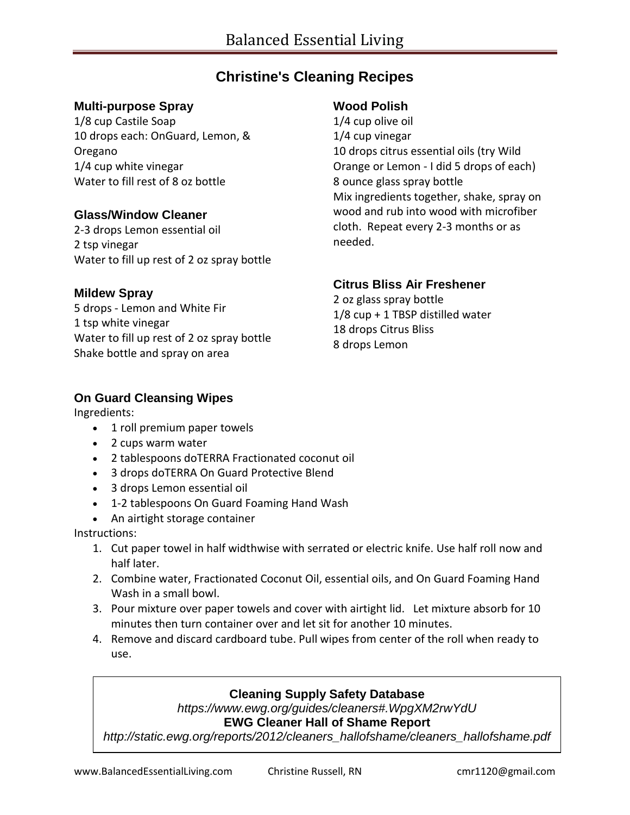## **Christine's Cleaning Recipes**

#### **Multi-purpose Spray**

1/8 cup Castile Soap 10 drops each: OnGuard, Lemon, & Oregano 1/4 cup white vinegar Water to fill rest of 8 oz bottle

#### **Glass/Window Cleaner**

2-3 drops Lemon essential oil 2 tsp vinegar Water to fill up rest of 2 oz spray bottle

#### **Mildew Spray**

5 drops - Lemon and White Fir 1 tsp white vinegar Water to fill up rest of 2 oz spray bottle Shake bottle and spray on area

#### **Wood Polish**

1/4 cup olive oil 1/4 cup vinegar 10 drops citrus essential oils (try Wild Orange or Lemon - I did 5 drops of each) 8 ounce glass spray bottle Mix ingredients together, shake, spray on wood and rub into wood with microfiber cloth. Repeat every 2-3 months or as needed.

#### **Citrus Bliss Air Freshener**

2 oz glass spray bottle 1/8 cup + 1 TBSP distilled water 18 drops Citrus Bliss 8 drops Lemon

#### **On Guard Cleansing Wipes**

Ingredients:

- 1 roll premium paper towels
- 2 cups warm water
- 2 tablespoons doTERRA Fractionated coconut oil
- 3 drops doTERRA On Guard Protective Blend
- 3 drops Lemon essential oil
- 1-2 tablespoons On Guard Foaming Hand Wash
- An airtight storage container

#### Instructions:

- 1. Cut paper towel in half widthwise with serrated or electric knife. Use half roll now and half later.
- 2. Combine water, Fractionated Coconut Oil, essential oils, and On Guard Foaming Hand Wash in a small bowl.
- 3. Pour mixture over paper towels and cover with airtight lid. Let mixture absorb for 10 minutes then turn container over and let sit for another 10 minutes.
- 4. Remove and discard cardboard tube. Pull wipes from center of the roll when ready to use.

### **Cleaning Supply Safety Database**

*https://www.ewg.org/guides/cleaners#.WpgXM2rwYdU*

#### **EWG Cleaner Hall of Shame Report**

*http://static.ewg.org/reports/2012/cleaners\_hallofshame/cleaners\_hallofshame.pdf*